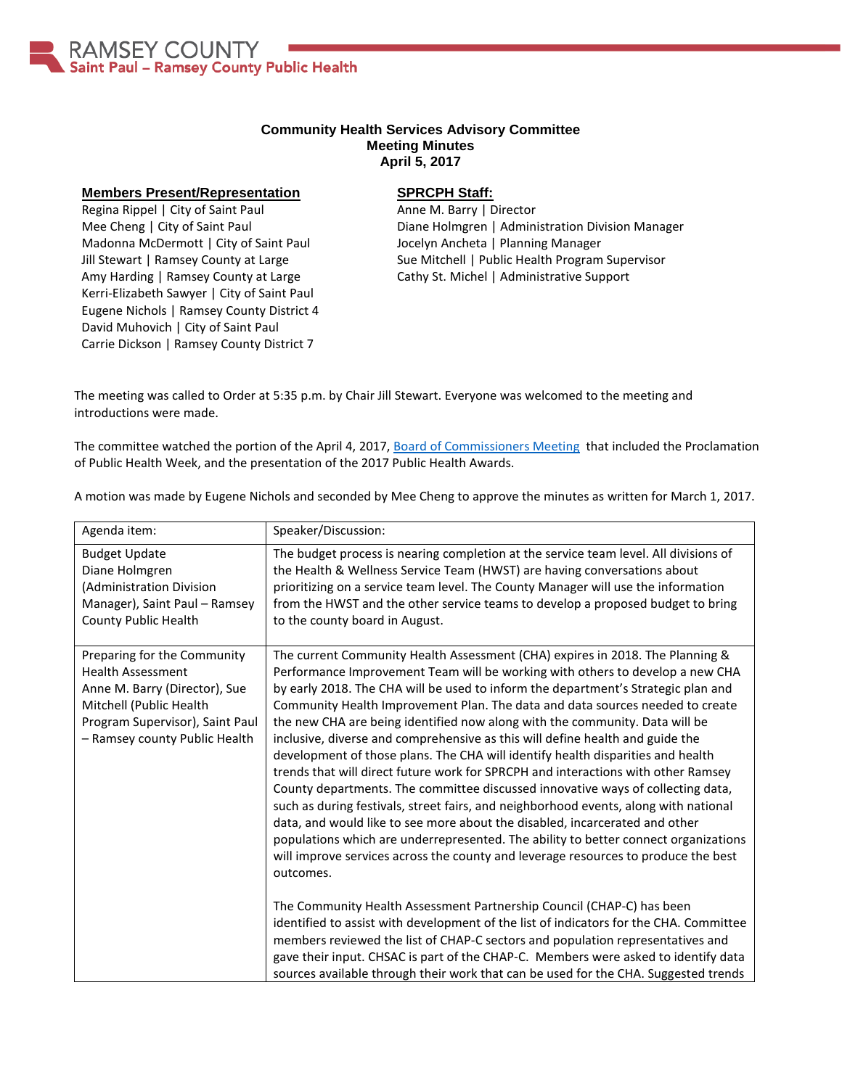

## **Community Health Services Advisory Committee Meeting Minutes April 5, 2017**

## **Members Present/Representation**

Regina Rippel | City of Saint Paul Mee Cheng | City of Saint Paul Madonna McDermott | City of Saint Paul Jill Stewart | Ramsey County at Large Amy Harding | Ramsey County at Large Kerri-Elizabeth Sawyer | City of Saint Paul Eugene Nichols | Ramsey County District 4 David Muhovich | City of Saint Paul Carrie Dickson | Ramsey County District 7

## **SPRCPH Staff:**

Anne M. Barry | Director Diane Holmgren | Administration Division Manager Jocelyn Ancheta | Planning Manager Sue Mitchell | Public Health Program Supervisor Cathy St. Michel | Administrative Support

The meeting was called to Order at 5:35 p.m. by Chair Jill Stewart. Everyone was welcomed to the meeting and introductions were made.

The committee watched the portion of the April 4, 2017, [Board of Commissioners Meeting](http://stpaul.granicus.com/MediaPlayer.php?publish_id=a5898d65-194b-11e7-ad57-f04da2064c47) that included the Proclamation of Public Health Week, and the presentation of the 2017 Public Health Awards.

A motion was made by Eugene Nichols and seconded by Mee Cheng to approve the minutes as written for March 1, 2017.

| Agenda item:                                                                                                                                                                            | Speaker/Discussion:                                                                                                                                                                                                                                                                                                                                                                                                                                                                                                                                                                                                                                                                                                                                                                                                                                                                                                                                                                                                                                                                                                              |
|-----------------------------------------------------------------------------------------------------------------------------------------------------------------------------------------|----------------------------------------------------------------------------------------------------------------------------------------------------------------------------------------------------------------------------------------------------------------------------------------------------------------------------------------------------------------------------------------------------------------------------------------------------------------------------------------------------------------------------------------------------------------------------------------------------------------------------------------------------------------------------------------------------------------------------------------------------------------------------------------------------------------------------------------------------------------------------------------------------------------------------------------------------------------------------------------------------------------------------------------------------------------------------------------------------------------------------------|
| <b>Budget Update</b><br>Diane Holmgren<br>(Administration Division<br>Manager), Saint Paul - Ramsey<br>County Public Health                                                             | The budget process is nearing completion at the service team level. All divisions of<br>the Health & Wellness Service Team (HWST) are having conversations about<br>prioritizing on a service team level. The County Manager will use the information<br>from the HWST and the other service teams to develop a proposed budget to bring<br>to the county board in August.                                                                                                                                                                                                                                                                                                                                                                                                                                                                                                                                                                                                                                                                                                                                                       |
| Preparing for the Community<br><b>Health Assessment</b><br>Anne M. Barry (Director), Sue<br>Mitchell (Public Health<br>Program Supervisor), Saint Paul<br>- Ramsey county Public Health | The current Community Health Assessment (CHA) expires in 2018. The Planning &<br>Performance Improvement Team will be working with others to develop a new CHA<br>by early 2018. The CHA will be used to inform the department's Strategic plan and<br>Community Health Improvement Plan. The data and data sources needed to create<br>the new CHA are being identified now along with the community. Data will be<br>inclusive, diverse and comprehensive as this will define health and guide the<br>development of those plans. The CHA will identify health disparities and health<br>trends that will direct future work for SPRCPH and interactions with other Ramsey<br>County departments. The committee discussed innovative ways of collecting data,<br>such as during festivals, street fairs, and neighborhood events, along with national<br>data, and would like to see more about the disabled, incarcerated and other<br>populations which are underrepresented. The ability to better connect organizations<br>will improve services across the county and leverage resources to produce the best<br>outcomes. |
|                                                                                                                                                                                         | The Community Health Assessment Partnership Council (CHAP-C) has been<br>identified to assist with development of the list of indicators for the CHA. Committee<br>members reviewed the list of CHAP-C sectors and population representatives and<br>gave their input. CHSAC is part of the CHAP-C. Members were asked to identify data<br>sources available through their work that can be used for the CHA. Suggested trends                                                                                                                                                                                                                                                                                                                                                                                                                                                                                                                                                                                                                                                                                                   |